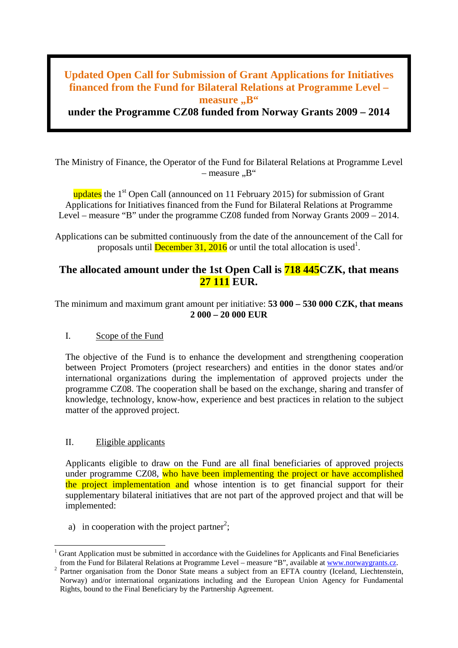# **Updated Open Call for Submission of Grant Applications for Initiatives financed from the Fund for Bilateral Relations at Programme Level – measure** ., B"

**under the Programme CZ08 funded from Norway Grants 2009 – 2014**

The Ministry of Finance, the Operator of the Fund for Bilateral Relations at Programme Level  $-$  measure  $\mathbb{R}^4$ 

updates the  $1<sup>st</sup>$  Open Call (announced on 11 February 2015) for submission of Grant Applications for Initiatives financed from the Fund for Bilateral Relations at Programme Level – measure "B" under the programme CZ08 funded from Norway Grants 2009 – 2014.

Applications can be submitted continuously from the date of the announcement of the Call for proposals until **December 31, 2016** or until the total allocation is used<sup>1</sup>.

## **The allocated amount under the 1st Open Call is 718 445CZK, that means 27 111 EUR.**

The minimum and maximum grant amount per initiative: **53 000 – 530 000 CZK, that means 2 000 – 20 000 EUR**

#### I. Scope of the Fund

The objective of the Fund is to enhance the development and strengthening cooperation between Project Promoters (project researchers) and entities in the donor states and/or international organizations during the implementation of approved projects under the programme CZ08. The cooperation shall be based on the exchange, sharing and transfer of knowledge, technology, know-how, experience and best practices in relation to the subject matter of the approved project.

#### II. Eligible applicants

Applicants eligible to draw on the Fund are all final beneficiaries of approved projects under programme CZ08, who have been implementing the project or have accomplished the project implementation and whose intention is to get financial support for their supplementary bilateral initiatives that are not part of the approved project and that will be implemented:

a) in cooperation with the project partner<sup>2</sup>;

Grant Application must be submitted in accordance with the Guidelines for Applicants and Final Beneficiaries from the Fund for Bilateral Relations at Programme Level – measure "B", available at www.norwaygrants.cz.

<sup>&</sup>lt;sup>2</sup> Partner organisation from the Donor State means a subject from an EFTA country (Iceland, Liechtenstein, Norway) and/or international organizations including and the European Union Agency for Fundamental Rights, bound to the Final Beneficiary by the Partnership Agreement.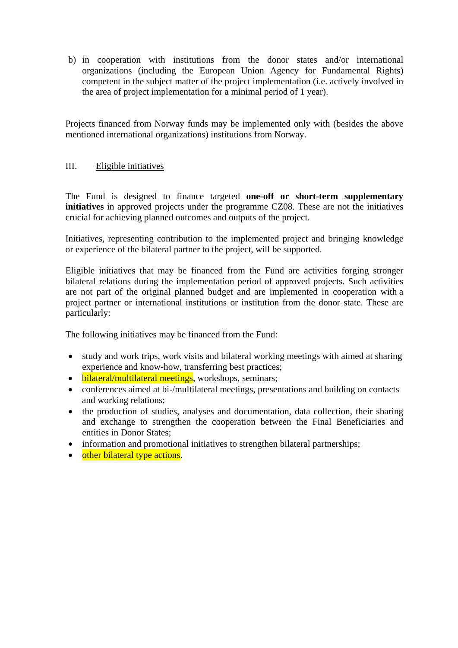b) in cooperation with institutions from the donor states and/or international organizations (including the European Union Agency for Fundamental Rights) competent in the subject matter of the project implementation (i.e. actively involved in the area of project implementation for a minimal period of 1 year).

Projects financed from Norway funds may be implemented only with (besides the above mentioned international organizations) institutions from Norway.

#### III. Eligible initiatives

The Fund is designed to finance targeted **one-off or short-term supplementary initiatives** in approved projects under the programme CZ08. These are not the initiatives crucial for achieving planned outcomes and outputs of the project.

Initiatives, representing contribution to the implemented project and bringing knowledge or experience of the bilateral partner to the project, will be supported.

Eligible initiatives that may be financed from the Fund are activities forging stronger bilateral relations during the implementation period of approved projects. Such activities are not part of the original planned budget and are implemented in cooperation with a project partner or international institutions or institution from the donor state. These are particularly:

The following initiatives may be financed from the Fund:

- study and work trips, work visits and bilateral working meetings with aimed at sharing experience and know-how, transferring best practices;
- bilateral/multilateral meetings, workshops, seminars;
- conferences aimed at bi-/multilateral meetings, presentations and building on contacts and working relations;
- the production of studies, analyses and documentation, data collection, their sharing and exchange to strengthen the cooperation between the Final Beneficiaries and entities in Donor States;
- information and promotional initiatives to strengthen bilateral partnerships;
- other bilateral type actions.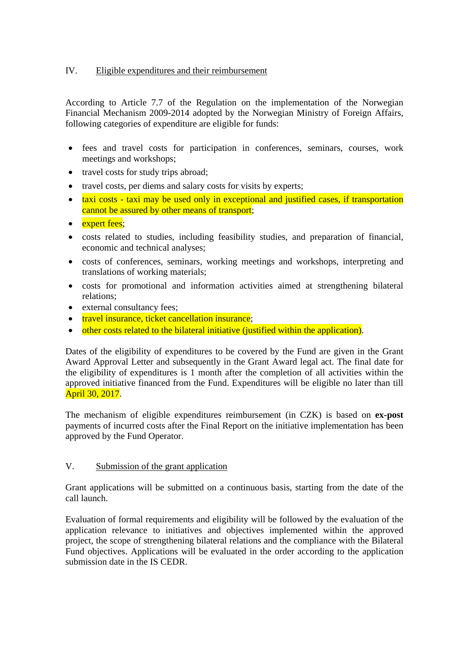### IV. Eligible expenditures and their reimbursement

According to Article 7.7 of the Regulation on the implementation of the Norwegian Financial Mechanism 2009-2014 adopted by the Norwegian Ministry of Foreign Affairs, following categories of expenditure are eligible for funds:

- fees and travel costs for participation in conferences, seminars, courses, work meetings and workshops;
- travel costs for study trips abroad;
- travel costs, per diems and salary costs for visits by experts;
- taxi costs taxi may be used only in exceptional and justified cases, if transportation cannot be assured by other means of transport;
- expert fees;
- costs related to studies, including feasibility studies, and preparation of financial, economic and technical analyses;
- costs of conferences, seminars, working meetings and workshops, interpreting and translations of working materials;
- costs for promotional and information activities aimed at strengthening bilateral relations;
- external consultancy fees;
- travel insurance, ticket cancellation insurance;
- other costs related to the bilateral initiative (justified within the application).

Dates of the eligibility of expenditures to be covered by the Fund are given in the Grant Award Approval Letter and subsequently in the Grant Award legal act. The final date for the eligibility of expenditures is 1 month after the completion of all activities within the approved initiative financed from the Fund. Expenditures will be eligible no later than till April 30, 2017.

The mechanism of eligible expenditures reimbursement (in CZK) is based on **ex-post** payments of incurred costs after the Final Report on the initiative implementation has been approved by the Fund Operator.

### V. Submission of the grant application

Grant applications will be submitted on a continuous basis, starting from the date of the call launch.

Evaluation of formal requirements and eligibility will be followed by the evaluation of the application relevance to initiatives and objectives implemented within the approved project, the scope of strengthening bilateral relations and the compliance with the Bilateral Fund objectives. Applications will be evaluated in the order according to the application submission date in the IS CEDR.